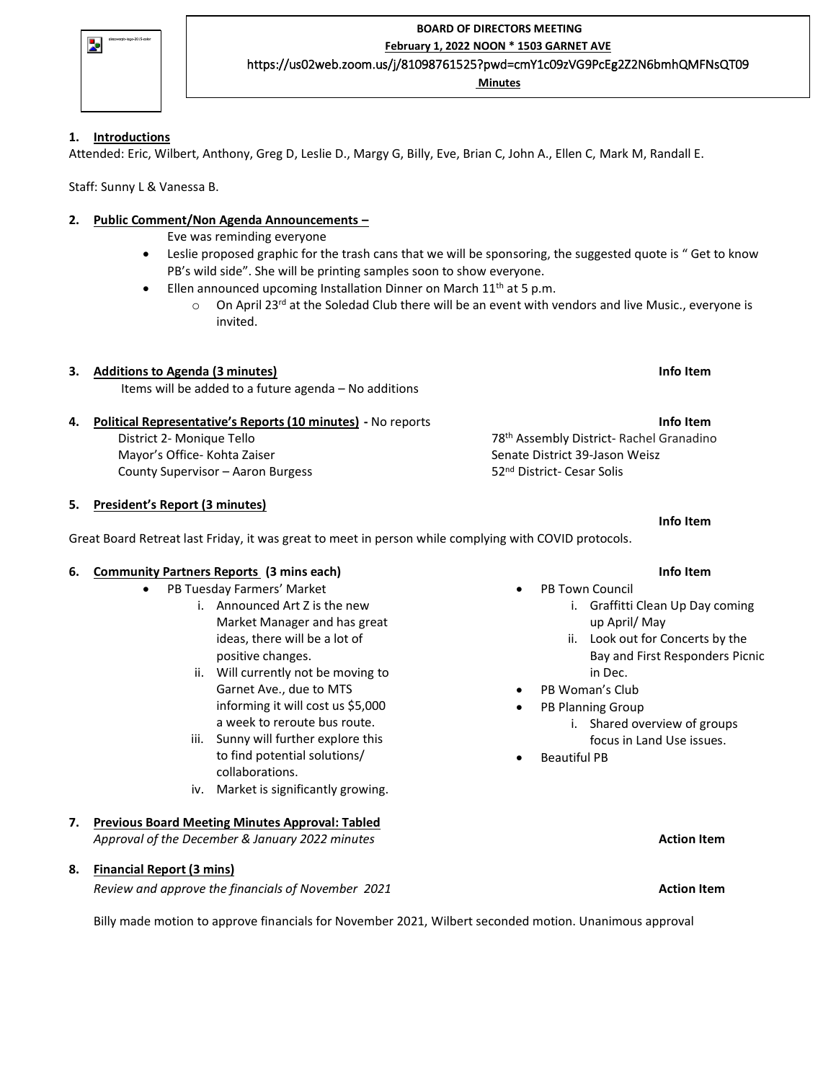| discoverpb-logo-2015-color |
|----------------------------|
|                            |
|                            |

**BOARD OF DIRECTORS MEETING February 1, 2022 NOON \* 1503 GARNET AVE** https://us02web.zoom.us/j/81098761525?pwd=cmY1c09zVG9PcEg2Z2N6bmhQMFNsQT09

**Minutes**

## **1. Introductions**

Attended: Eric, Wilbert, Anthony, Greg D, Leslie D., Margy G, Billy, Eve, Brian C, John A., Ellen C, Mark M, Randall E.

Staff: Sunny L & Vanessa B.

# **2. Public Comment/Non Agenda Announcements –**

Eve was reminding everyone

- Leslie proposed graphic for the trash cans that we will be sponsoring, the suggested quote is " Get to know PB's wild side". She will be printing samples soon to show everyone.
	- Ellen announced upcoming Installation Dinner on March  $11<sup>th</sup>$  at 5 p.m.
		- $\circ$  On April 23<sup>rd</sup> at the Soledad Club there will be an event with vendors and live Music., everyone is invited.

# **3. Additions to Agenda (3 minutes) Info Item**

Items will be added to a future agenda – No additions

## **4. Political Representative's Reports (10 minutes) -** No reports **Info Item**

District 2- Monique Tello Mayor's Office- Kohta Zaiser County Supervisor – Aaron Burgess

## **5. President's Report (3 minutes)**

Great Board Retreat last Friday, it was great to meet in person while complying with COVID protocols.

## **6. Community Partners Reports (3 mins each) Info Item**

- PB Tuesday Farmers' Market
	- i. Announced Art Z is the new Market Manager and has great ideas, there will be a lot of positive changes.
	- ii. Will currently not be moving to Garnet Ave., due to MTS informing it will cost us \$5,000 a week to reroute bus route.
	- iii. Sunny will further explore this to find potential solutions/ collaborations.
	- iv. Market is significantly growing.
- **7. Previous Board Meeting Minutes Approval: Tabled** *Approval of the December & January 2022 minutes* **Action Item**

## **8. Financial Report (3 mins)**

*Review and approve the financials of November 2021* **Action Item**

Billy made motion to approve financials for November 2021, Wilbert seconded motion. Unanimous approval

**Info Item**

PB Town Council

78 th Assembly District- Rachel Granadino

Senate District 39-Jason Weisz 52nd District- Cesar Solis

- i. Graffitti Clean Up Day coming up April/ May
- ii. Look out for Concerts by the Bay and First Responders Picnic in Dec.
- PB Woman's Club
- PB Planning Group
	- i. Shared overview of groups
	- focus in Land Use issues.
- Beautiful PB